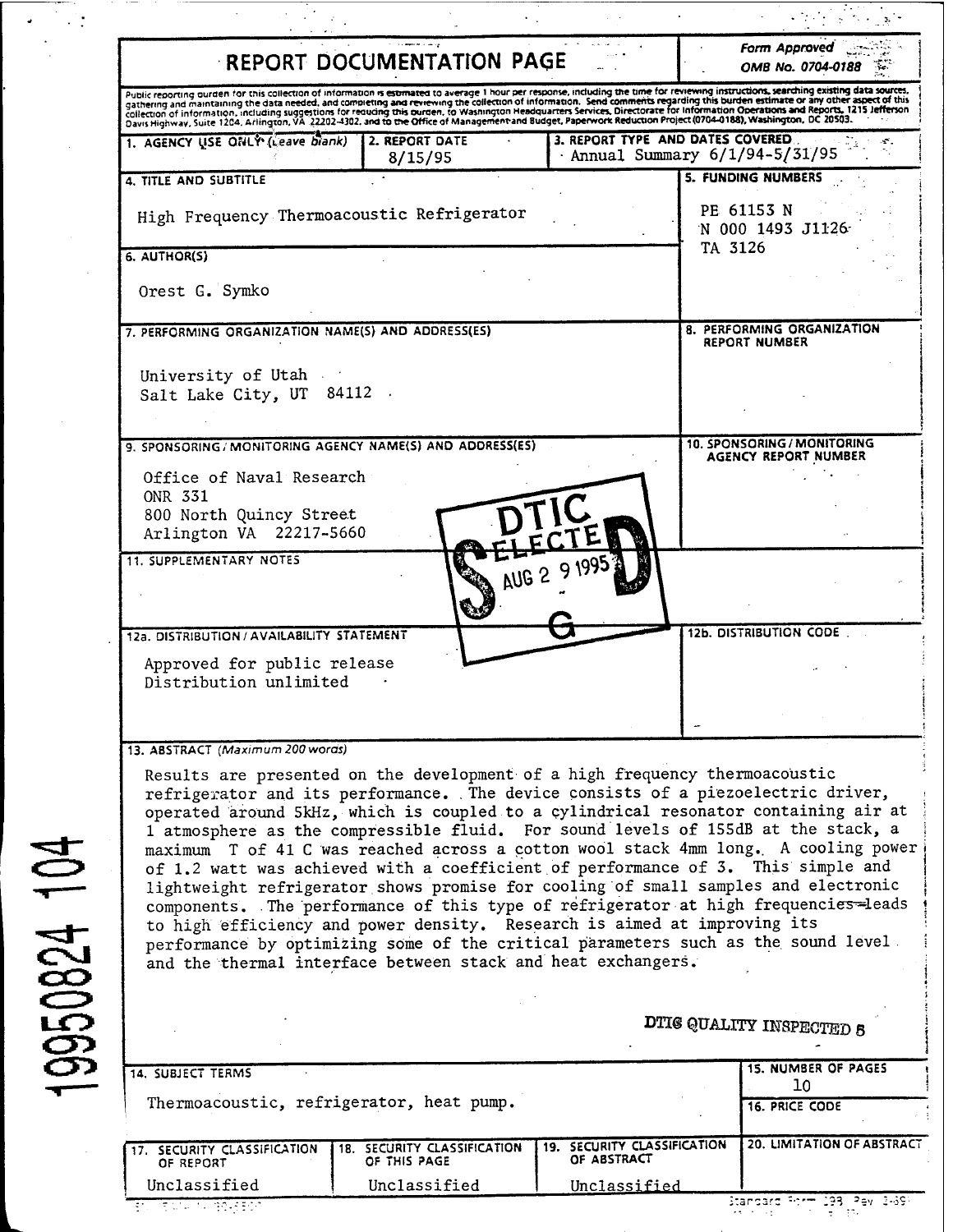|                                                                                                                                    | <b>REPORT DOCUMENTATION PAGE</b>                                                                                                                                                                                                                                                                                                                                                                                                                                                                                                                                                                                                                                                                                                                                                                                                                                                                                                   |                                                                    |         | <b>Form Approved</b><br>OMB No. 0704-0188                 |  |
|------------------------------------------------------------------------------------------------------------------------------------|------------------------------------------------------------------------------------------------------------------------------------------------------------------------------------------------------------------------------------------------------------------------------------------------------------------------------------------------------------------------------------------------------------------------------------------------------------------------------------------------------------------------------------------------------------------------------------------------------------------------------------------------------------------------------------------------------------------------------------------------------------------------------------------------------------------------------------------------------------------------------------------------------------------------------------|--------------------------------------------------------------------|---------|-----------------------------------------------------------|--|
|                                                                                                                                    | Public reporting ourden for this collection of information is estimated to average 1 hour per response, including the time for reviewing instructions, searching existing data sources,<br>gathering and maintaining the data needed, and completing and reviewing the collection of information. Send comments regarding this burden estimate or any other aspect of this<br>collection of information, including suggestions for requiring this ourden, to Washington Headquarters Services, Directorate for Information Operations and Reports, 1215 Jefferson<br>Davis Highway, Suite 1204, Arlington, 0A 22202-4302, and to the Office of Management and Budget, Paperwork Reduction Project (0704-0188), Washington, DC 20503.                                                                                                                                                                                               |                                                                    |         |                                                           |  |
| 1. AGENCY USE ONLY (Leave blank)                                                                                                   | 2. REPORT DATE<br>8/15/95                                                                                                                                                                                                                                                                                                                                                                                                                                                                                                                                                                                                                                                                                                                                                                                                                                                                                                          | 3. REPORT TYPE AND DATES COVERED.<br>Annual Summary 6/1/94-5/31/95 |         |                                                           |  |
| 4. TITLE AND SUBTITLE                                                                                                              |                                                                                                                                                                                                                                                                                                                                                                                                                                                                                                                                                                                                                                                                                                                                                                                                                                                                                                                                    |                                                                    |         | <b>5. FUNDING NUMBERS</b>                                 |  |
| High Frequency Thermoacoustic Refrigerator<br>6. AUTHOR(S)                                                                         |                                                                                                                                                                                                                                                                                                                                                                                                                                                                                                                                                                                                                                                                                                                                                                                                                                                                                                                                    |                                                                    | TA 3126 | PE 61153 N<br>N 000 1493 J1126                            |  |
| Orest G. Symko                                                                                                                     |                                                                                                                                                                                                                                                                                                                                                                                                                                                                                                                                                                                                                                                                                                                                                                                                                                                                                                                                    |                                                                    |         |                                                           |  |
| 7. PERFORMING ORGANIZATION NAME(S) AND ADDRESS(ES)                                                                                 |                                                                                                                                                                                                                                                                                                                                                                                                                                                                                                                                                                                                                                                                                                                                                                                                                                                                                                                                    |                                                                    |         | 8. PERFORMING ORGANIZATION<br><b>REPORT NUMBER</b>        |  |
| University of Utah<br>Salt Lake City, UT 84112                                                                                     |                                                                                                                                                                                                                                                                                                                                                                                                                                                                                                                                                                                                                                                                                                                                                                                                                                                                                                                                    |                                                                    |         |                                                           |  |
| Office of Naval Research<br><b>ONR 331</b><br>800 North Quincy Street<br>Arlington VA 22217-5660<br><b>11. SUPPLEMENTARY NOTES</b> | 9. SPONSORING / MONITORING AGENCY NAME(S) AND ADDRESS(ES)<br>AUB <sup>2</sup>                                                                                                                                                                                                                                                                                                                                                                                                                                                                                                                                                                                                                                                                                                                                                                                                                                                      |                                                                    |         | 10. SPONSORING / MONITORING<br>AGENCY REPORT NUMBER       |  |
| 12a. DISTRIBUTION / AVAILABILITY STATEMENT<br>Approved for public release<br>Distribution unlimited                                |                                                                                                                                                                                                                                                                                                                                                                                                                                                                                                                                                                                                                                                                                                                                                                                                                                                                                                                                    |                                                                    |         | 12b. DISTRIBUTION CODE                                    |  |
| 13. ABSTRACT (Maximum 200 words)                                                                                                   | Results are presented on the development of a high frequency thermoacoustic<br>refrigerator and its performance. The device consists of a piezoelectric driver,<br>operated around 5kHz, which is coupled to a cylindrical resonator containing air at<br>1 atmosphere as the compressible fluid. For sound levels of 155dB at the stack, a<br>maximum T of 41 C was reached across a cotton wool stack 4mm long. A cooling power<br>of 1.2 watt was achieved with a coefficient of performance of 3. This simple and<br>lightweight refrigerator shows promise for cooling of small samples and electronic<br>components. The performance of this type of refrigerator at high frequencies-leads<br>to high efficiency and power density. Research is aimed at improving its<br>performance by optimizing some of the critical parameters such as the sound level<br>and the thermal interface between stack and heat exchangers. |                                                                    |         |                                                           |  |
|                                                                                                                                    |                                                                                                                                                                                                                                                                                                                                                                                                                                                                                                                                                                                                                                                                                                                                                                                                                                                                                                                                    |                                                                    |         | DTIG QUALITY INSPECTED 5                                  |  |
| 14. SUBJECT TERMS<br>Thermoacoustic, refrigerator, heat pump.                                                                      |                                                                                                                                                                                                                                                                                                                                                                                                                                                                                                                                                                                                                                                                                                                                                                                                                                                                                                                                    |                                                                    |         | <b>15. NUMBER OF PAGES</b><br>10<br><b>16. PRICE CODE</b> |  |

Unclassified

19950824 104

 $\frac{1}{2}$ 

Unclassified

Ξ

Standard Form 198 (Pay 1469)<br>|-<br>| 1980 (Pay 1980)

Unclassified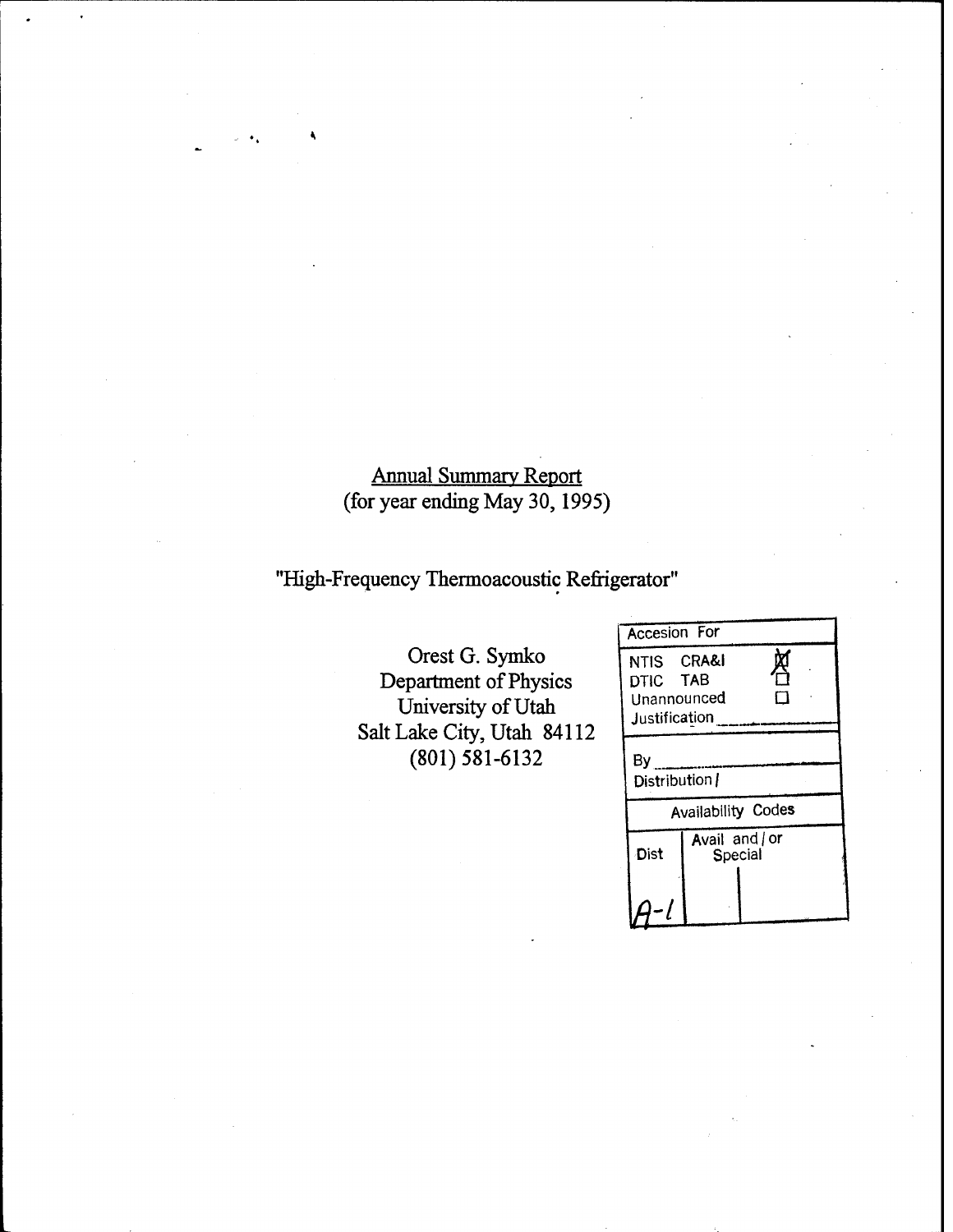# Annual Summary Report (for year ending May 30,1995)

# "High-Frequency Thermoacoustic Refrigerator"

Orest G. Symko Department of Physics University of Utah Salt Lake City, Utah 84112 (801) 581-6132

| <b>Accesion For</b>                                    |                |         |  |  |
|--------------------------------------------------------|----------------|---------|--|--|
| NTIS CRA&I<br>DTIC TAB<br>Unannounced<br>Justification |                |         |  |  |
| By<br>Distribution /                                   |                |         |  |  |
| Availability Codes                                     |                |         |  |  |
| Dist                                                   | Avail and / or | Special |  |  |
|                                                        |                |         |  |  |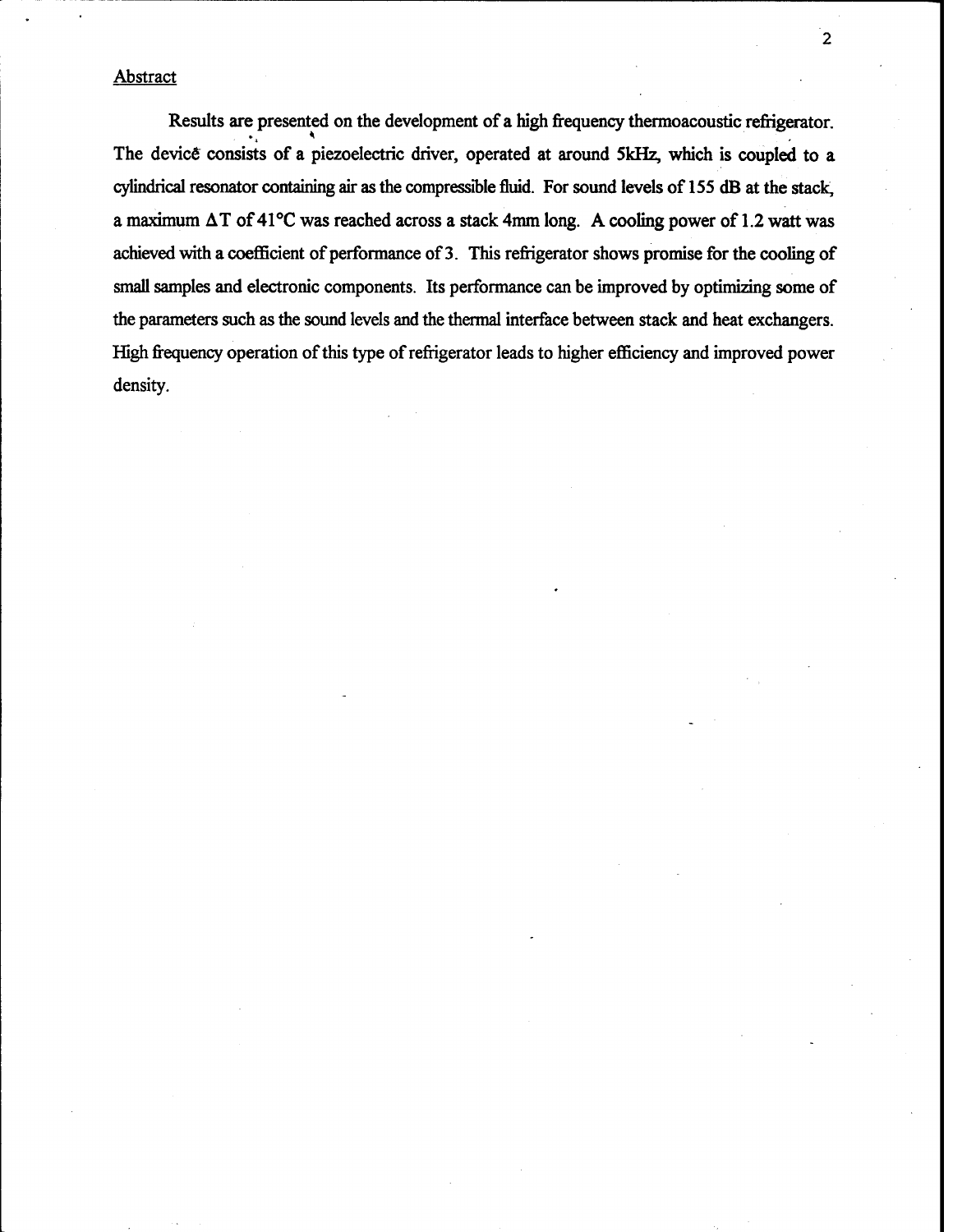## **Abstract**

Results are presented on the development of a high frequency thermoacoustic refrigerator. The device consists of a piezoelectric driver, operated at around 5kHz, which is coupled to a cylindrical resonator containing air as the compressible fluid. For sound levels of 155 dB at the stack, a maximum  $\Delta T$  of 41°C was reached across a stack 4mm long. A cooling power of 1.2 watt was achieved with a coefficient of performance of 3. This refrigerator shows promise for the cooling of small samples and electronic components. Its performance can be improved by optimizing some of the parameters such as the sound levels and the thermal interface between stack and heat exchangers. High frequency operation of this type of refrigerator leads to higher efficiency and improved power density.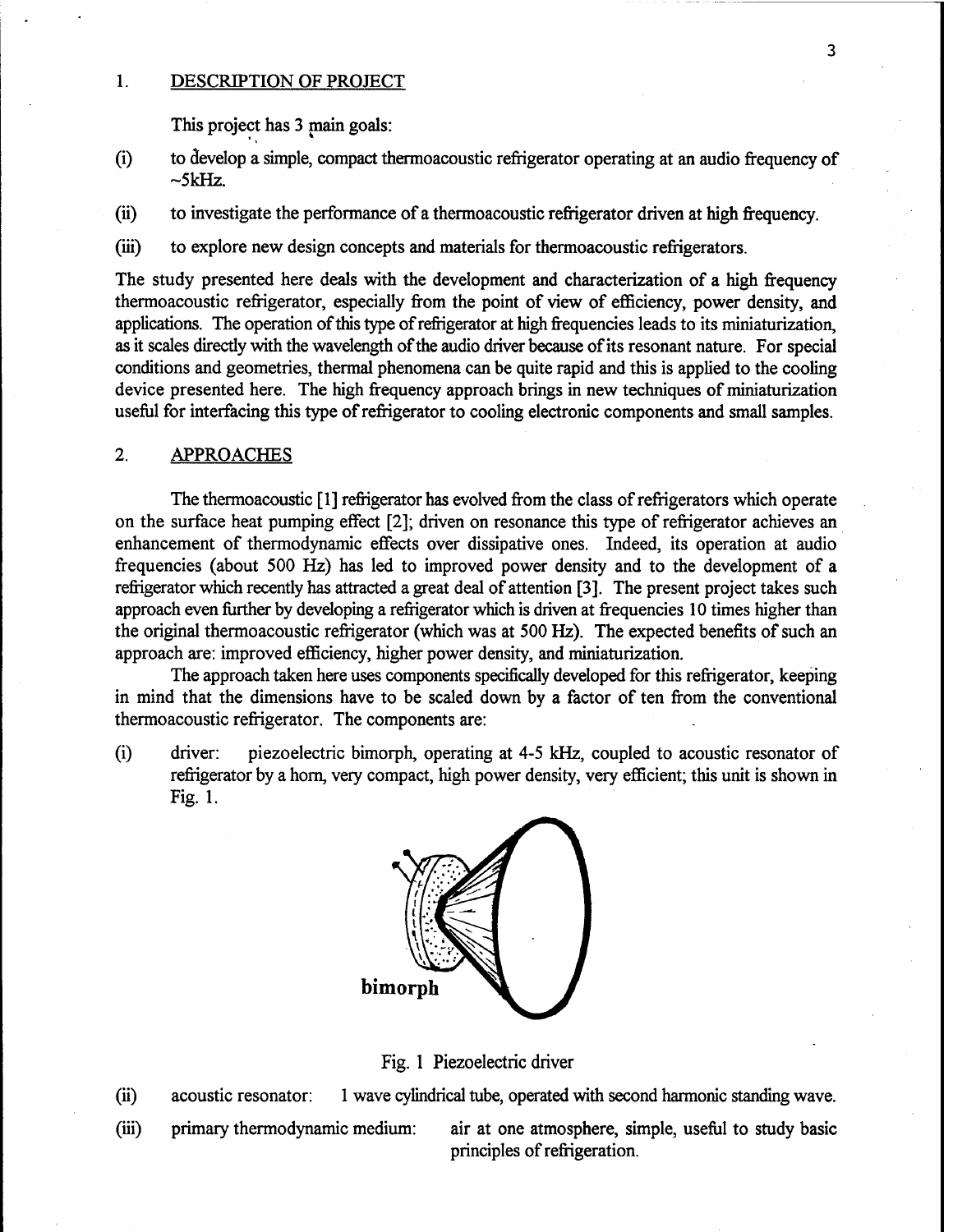#### 1. DESCRIPTION OF PROJECT

This project has 3 main goals:

- (i) to develop a simple, compact thermoacoustic refrigerator operating at an audio frequency of  $~5$ k $Hz$ .
- (ii) to investigate the performance of a thermoacoustic refrigerator driven at high frequency.
- (iii) to explore new design concepts and materials for thermoacoustic refrigerators.

The study presented here deals with the development and characterization of a high frequency thermoacoustic refrigerator, especially from the point of view of efficiency, power density, and applications. The operation of this type of refrigerator at high frequencies leads to its miniaturization, as it scales directly with the wavelength of the audio driver because of its resonant nature. For special conditions and geometries, thermal phenomena can be quite rapid and this is applied to the cooling device presented here. The high frequency approach brings in new techniques of miniaturization useful for interfacing this type of refrigerator to cooling electronic components and small samples.

## 2. APPROACHES

The thermoacoustic [1] refrigerator has evolved from the class of refrigerators which operate on the surface heat pumping effect [2]; driven on resonance this type of refrigerator achieves an enhancement of thermodynamic effects over dissipative ones. Indeed, its operation at audio frequencies (about 500 Hz) has led to improved power density and to the development of a refrigerator which recently has attracted a great deal of attention [3]. The present project takes such approach even further by developing a refrigerator which is driven at frequencies 10 times higher than the original thermoacoustic refrigerator (which was at 500 Hz). The expected benefits of such an approach are: improved efficiency, higher power density, and miniaturization.

The approach taken here uses components specifically developed for this refrigerator, keeping in mind that the dimensions have to be scaled down by a factor of ten from the conventional thermoacoustic refrigerator. The components are:

(i) driver: piezoelectric bimorph, operating at 4-5 kHz, coupled to acoustic resonator of refrigerator by a horn, very compact, high power density, very efficient; this unit is shown in Fig. 1.



Fig. <sup>1</sup> Piezoelectric driver

- (ii) acoustic resonator: <sup>1</sup> wave cylindrical tube, operated with second harmonic standing wave.
- 

(iii) primary thermodynamic medium: air at one atmosphere, simple, useful to study basic principles of refrigeration.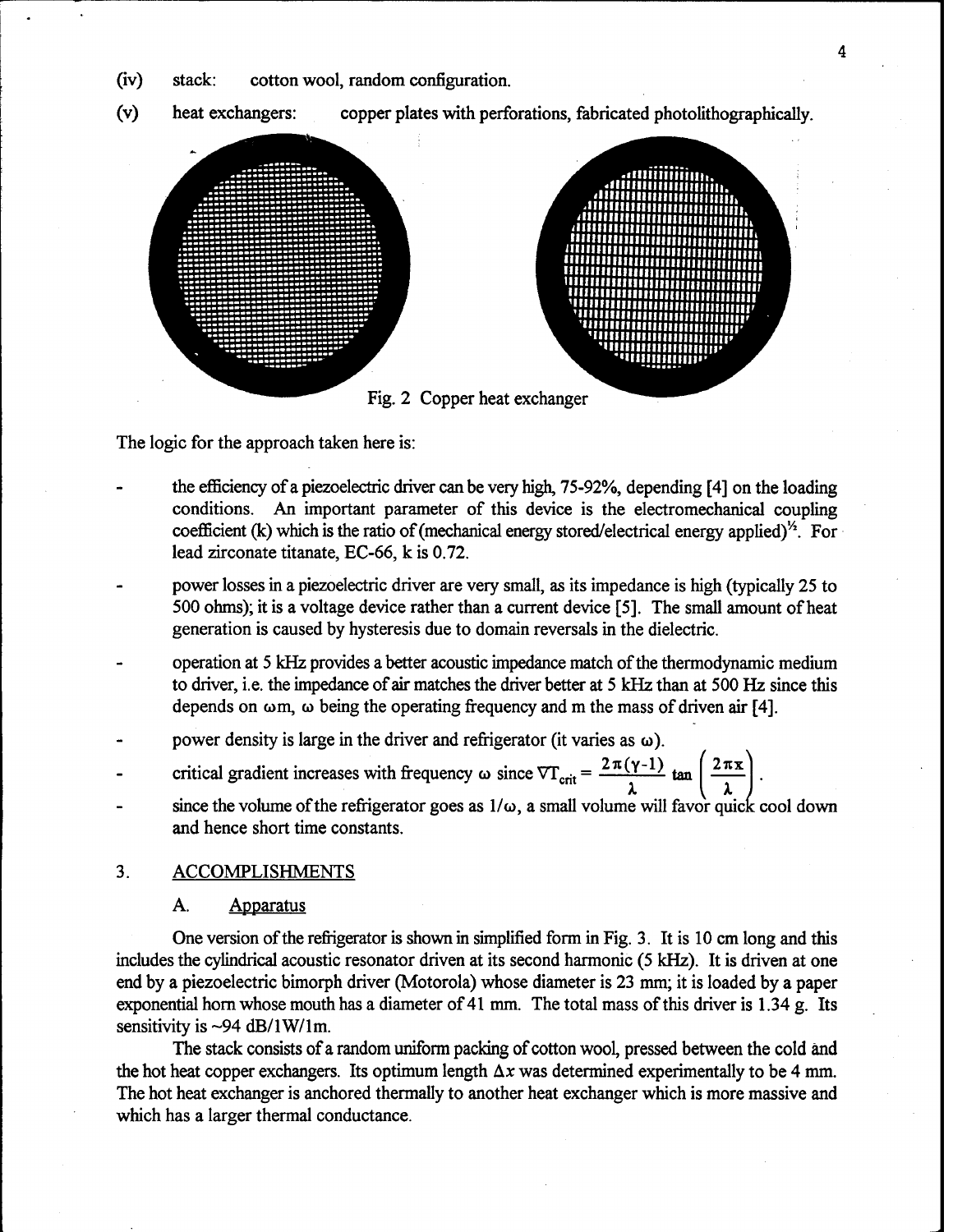(iv) stack: cotton wool, random configuration.



The logic for the approach taken here is:

- the efficiency of a piezoelectric driver can be very high, 75-92%, depending [4] on the loading conditions. An important parameter of this device is the electromechanical coupling coefficient (k) which is the ratio of (mechanical energy stored/electrical energy applied)<sup> $\frac{1}{2}$ </sup>. For lead zirconate titanate, EC-66, k is 0.72.
- power losses in a piezoelectric driver are very small, as its impedance is high (typically 25 to 500 ohms); it is a voltage device rather than a current device [5]. The small amount ofheat generation is caused by hysteresis due to domain reversals in the dielectric.
- operation at 5 kHz provides a better acoustic impedance match of the thermodynamic medium to driver, i.e. the impedance of air matches the driver better at 5 kHz than at 500 Hz since this depends on  $\omega$ m,  $\omega$  being the operating frequency and m the mass of driven air [4].
- power density is large in the driver and refrigerator (it varies as  $\omega$ ).
- critical gradient increases with frequency  $\omega$  since  $\nabla T_{\text{crit}} = \frac{2\pi(\gamma 1)}{r} \tan \left( \frac{2\pi x}{r} \right)$
- since the volume of the refrigerator goes as  $1/\omega$ , a small volume will favor quick cool down and hence short time constants.

#### 3. ACCOMPLISHMENTS

#### A. Apparatus

One version of the refrigerator is shown in simplified form in Fig. 3. It is 10 cm long and this includes the cylindrical acoustic resonator driven at its second harmonic (5 kHz). It is driven at one end by a piezoelectric bimorph driver (Motorola) whose diameter is 23 mm; it is loaded by a paper exponential horn whose mouth has a diameter of 41 mm. The total mass of this driver is  $1.34$  g. Its sensitivity is  $\sim$ 94 dB/1W/1m.

The stack consists of a random uniform packing of cotton wool, pressed between the cold and the hot heat copper exchangers. Its optimum length  $\Delta x$  was determined experimentally to be 4 mm. The hot heat exchanger is anchored thermally to another heat exchanger which is more massive and which has a larger thermal conductance.

4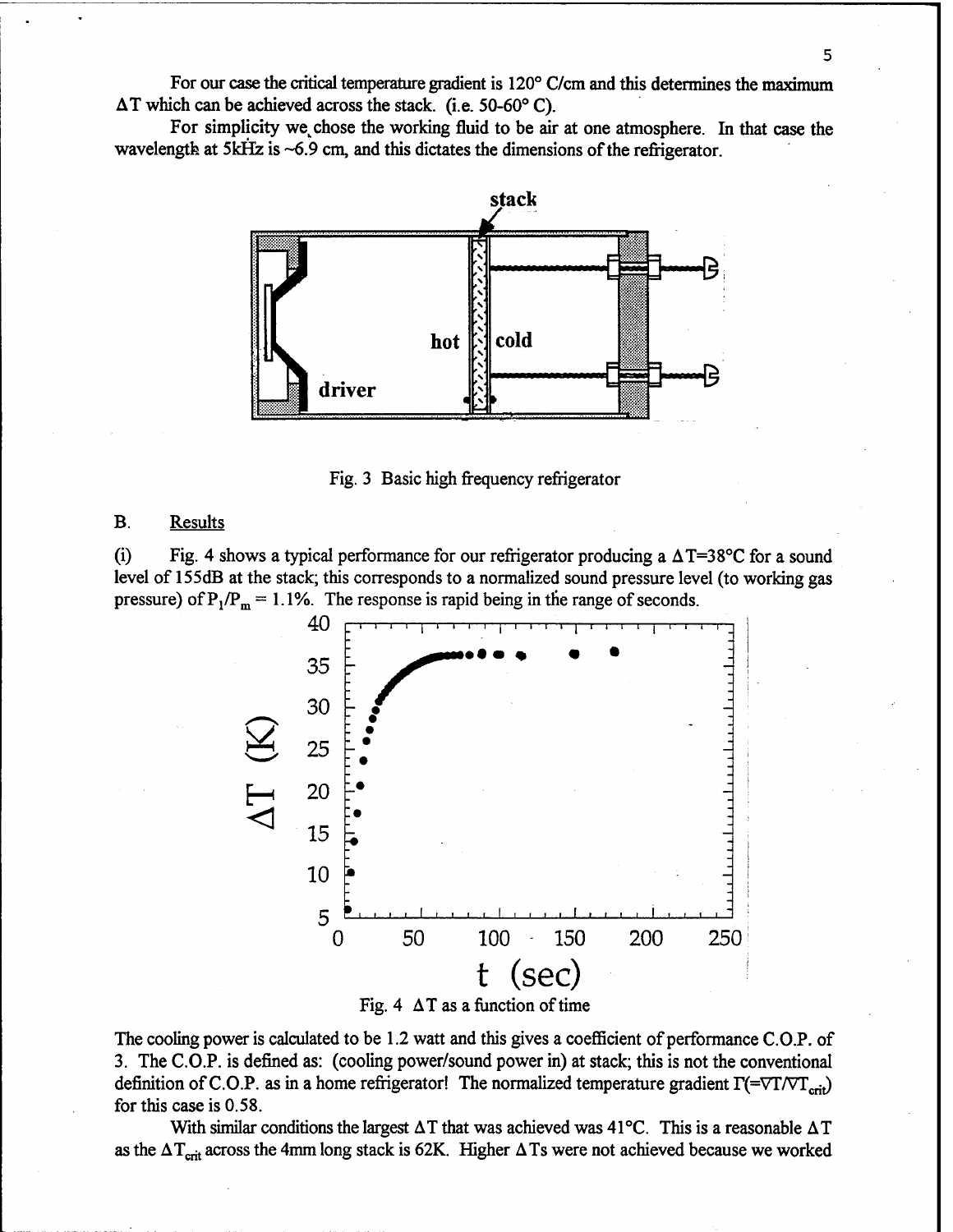For our case the critical temperature gradient is 120° C/cm and this determines the maximum AT which can be achieved across the stack, (i.e. 50-60° C).

For simplicity we chose the working fluid to be air at one atmosphere. In that case the wavelength at  $5kHz$  is  $\sim 6.9$  cm, and this dictates the dimensions of the refrigerator.



Fig. 3 Basic high frequency refrigerator

#### B. Results

(i) Fig. 4 shows a typical performance for our refrigerator producing a  $\Delta T = 38^{\circ}$ C for a sound level of 155dB at the stack; this corresponds to a normalized sound pressure level (to working gas pressure) of  $P_1/P_m = 1.1\%$ . The response is rapid being in the range of seconds.



Fig. 4  $\Delta T$  as a function of time

The cooling power is calculated to be 1.2 watt and this gives a coefficient of performance C.O.P. of 3. The C.O.P. is defined as: (cooling power/sound power in) at stack; this is not the conventional definition of C.O.P. as in a home refrigerator! The normalized temperature gradient  $\Gamma$ (=VT/VT<sub>crit</sub>) for this case is 0.58.

With similar conditions the largest  $\Delta T$  that was achieved was 41°C. This is a reasonable  $\Delta T$ as the  $\Delta T_{\text{crit}}$  across the 4mm long stack is 62K. Higher  $\Delta T$ s were not achieved because we worked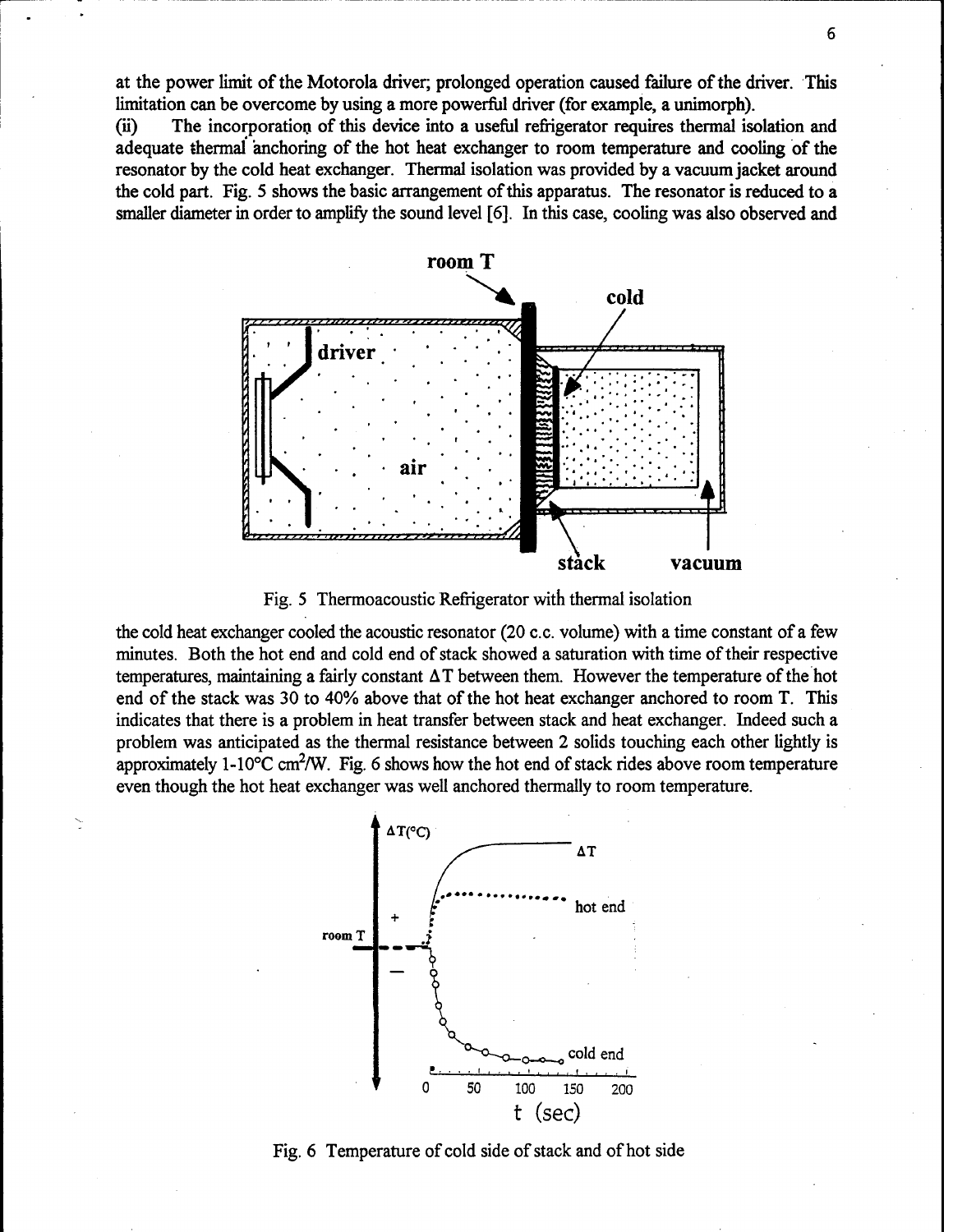at the power limit of the Motorola driver; prolonged operation caused failure of the driver. This limitation can be overcome by using a more powerful driver (for example, a unimorph).

(ii) The incorporation of this device into a useful refrigerator requires thermal isolation and adequate thermal anchoring of the hot heat exchanger to room temperature and cooling of the resonator by the cold heat exchanger. Thermal isolation was provided by a vacuumjacket around the cold part. Fig. 5 shows the basic arrangement of this apparatus. The resonator is reduced to a smaller diameter in order to amplify the sound level [6]. In this case, cooling was also observed and



Fig. 5 Thermoacoustic Refrigerator with thermal isolation

the cold heat exchanger cooled the acoustic resonator (20 c.c. volume) with a time constant of a few minutes. Both the hot end and cold end of stack showed a saturation with time of their respective temperatures, maintaining a fairly constant  $\Delta T$  between them. However the temperature of the hot end of the stack was 30 to 40% above that of the hot heat exchanger anchored to room T. This indicates that there is a problem in heat transfer between stack and heat exchanger. Indeed such a problem was anticipated as the thermal resistance between 2 solids touching each other lightly is approximately 1-10 $\degree$ C cm<sup>2</sup>/W. Fig. 6 shows how the hot end of stack rides above room temperature even though the hot heat exchanger was well anchored thermally to room temperature.



Fig. 6 Temperature of cold side of stack and of hot side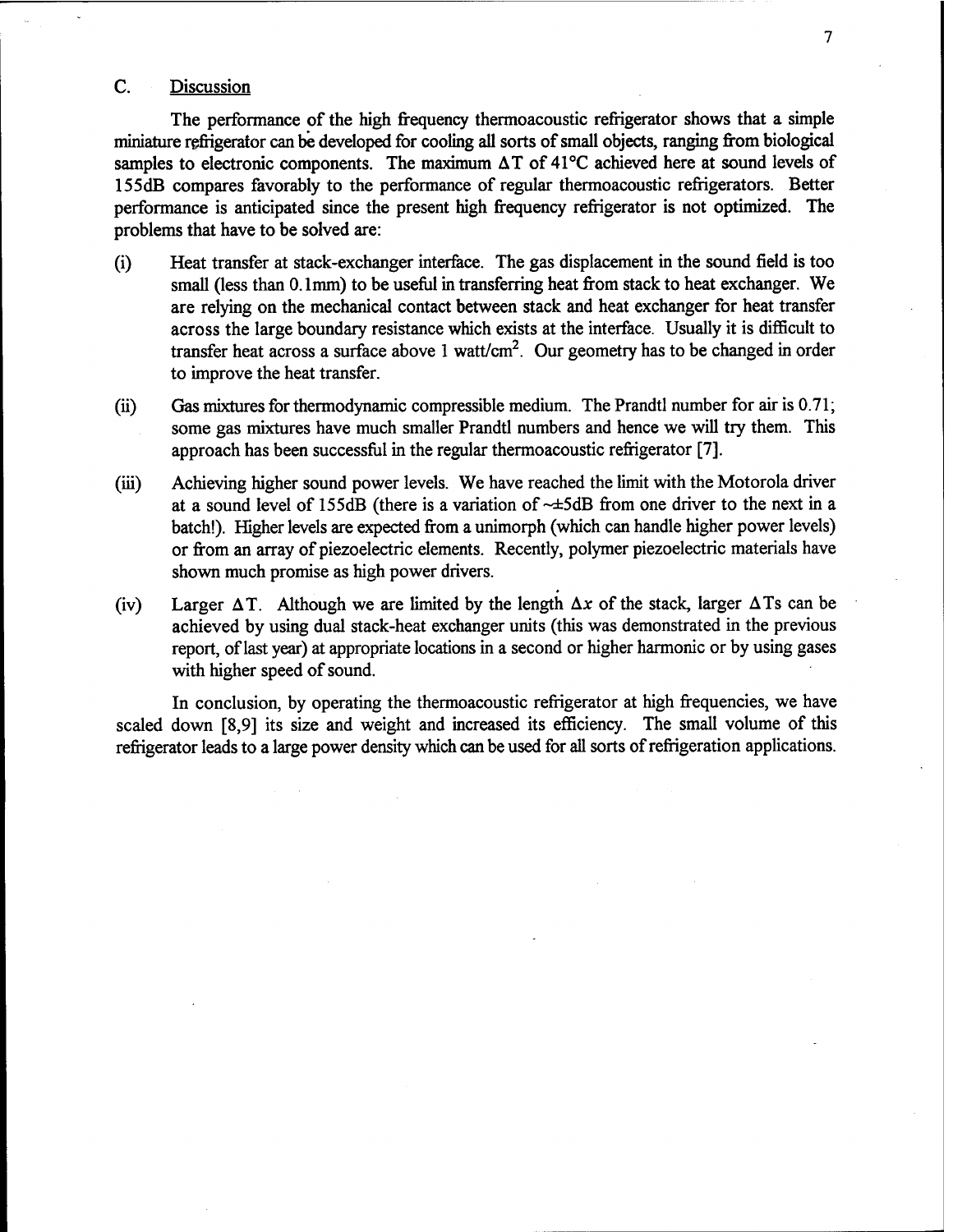## C. Discussion

The performance of the high frequency thermoacoustic refrigerator shows that a simple miniature refrigerator can be developed for cooling all sorts of small objects, ranging from biological samples to electronic components. The maximum  $\Delta T$  of 41°C achieved here at sound levels of 155dB compares favorably to the performance of regular thermoacoustic refrigerators. Better performance is anticipated since the present high frequency refrigerator is not optimized. The problems that have to be solved are:

- (i) Heat transfer at stack-exchanger interface. The gas displacement in the sound field is too small (less than 0.1mm) to be useful in transferring heat from stack to heat exchanger. We are relying on the mechanical contact between stack and heat exchanger for heat transfer across the large boundary resistance which exists at the interface. Usually it is difficult to transfer heat across a surface above 1 watt/cm<sup>2</sup>. Our geometry has to be changed in order to improve the heat transfer.
- (ii) Gas mixtures for thermodynamic compressible medium. The Prandtl number for air is 0.71; some gas mixtures have much smaller Prandtl numbers and hence we will try them. This approach has been successful in the regular thermoacoustic refrigerator [7].
- (iii) Achieving higher sound power levels. We have reached the limit with the Motorola driver at a sound level of 155dB (there is a variation of  $\sim \pm 5d$ B from one driver to the next in a batch!). Higher levels are expected from a unimorph (which can handle higher power levels) or from an array of piezoelectric elements. Recently, polymer piezoelectric materials have shown much promise as high power drivers.
- (iv) Larger  $\Delta T$ . Although we are limited by the length  $\Delta x$  of the stack, larger  $\Delta T$ s can be achieved by using dual stack-heat exchanger units (this was demonstrated in the previous report, oflast year) at appropriate locations in a second or higher harmonic or by using gases with higher speed of sound.

In conclusion, by operating the thermoacoustic refrigerator at high frequencies, we have scaled down [8,9] its size and weight and increased its efficiency. The small volume of this refrigerator leads to a large power density which can be used for all sorts of refrigeration applications.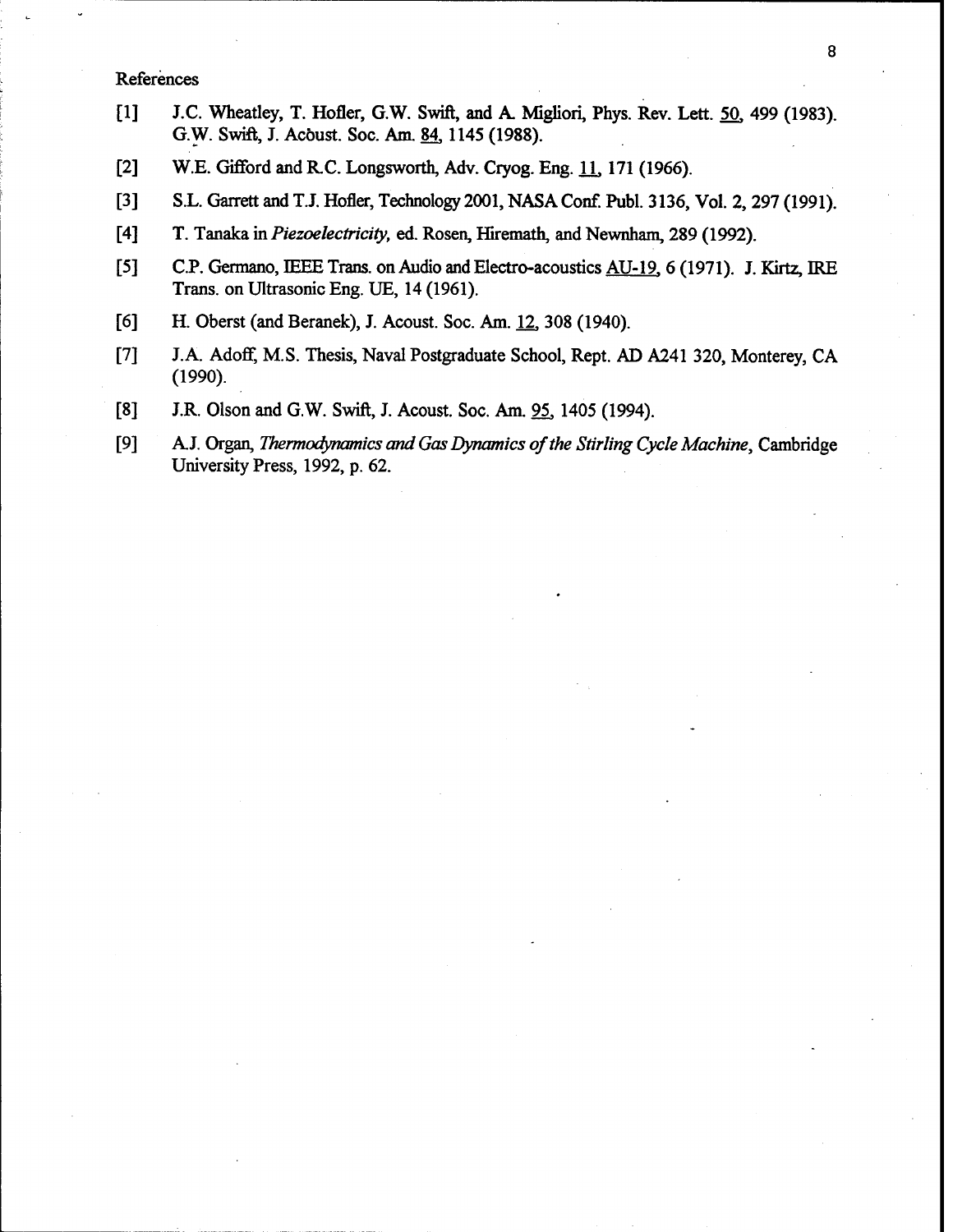## References

- [1] J.C. Wheatley, T. Hofler, G.W. Swift, and A. Migliori, Phys. Rev. Lett. 50, 499 (1983). G.W. Swift, J. Acöust. Soc. Am. 84,1145 (1988).
- [2] W.E. Gifford and R.C. Longsworth, Adv. Cryog. Eng. 11, 171 (1966).
- [3] S.L. Garrett and T.J. Hofler, Technology 2001, NASA Conf. Publ. 3136, Vol. 2, 297 (1991).
- [4] T. Tanaka in *Piezoelectricity*, ed. Rosen, Hiremath, and Newnham, 289 (1992).
- [5] C.P. Germano, IEEE Trans. on Audio and Electro-acoustics AU-19, 6 (1971). J. Kirtz, IRE Trans, on Ultrasonic Eng. UE, 14 (1961).
- [6] H. Oberst (and Beranek), J. Acoust. Soc. Am. 12, 308 (1940).
- [7] J.A. Adoff, M.S. Thesis, Naval Postgraduate School, Rept. AD A241 320, Monterey, CA (1990).
- [8] J.R. Olson and G.W. Swift, J. Acoust. Soc. Am. 95, 1405 (1994).
- [9] AJ. Organ, *Thermodynamics and Gas Dynamics ofthe Stirling Cycle Machine,* Cambridge University Press, 1992, p. 62.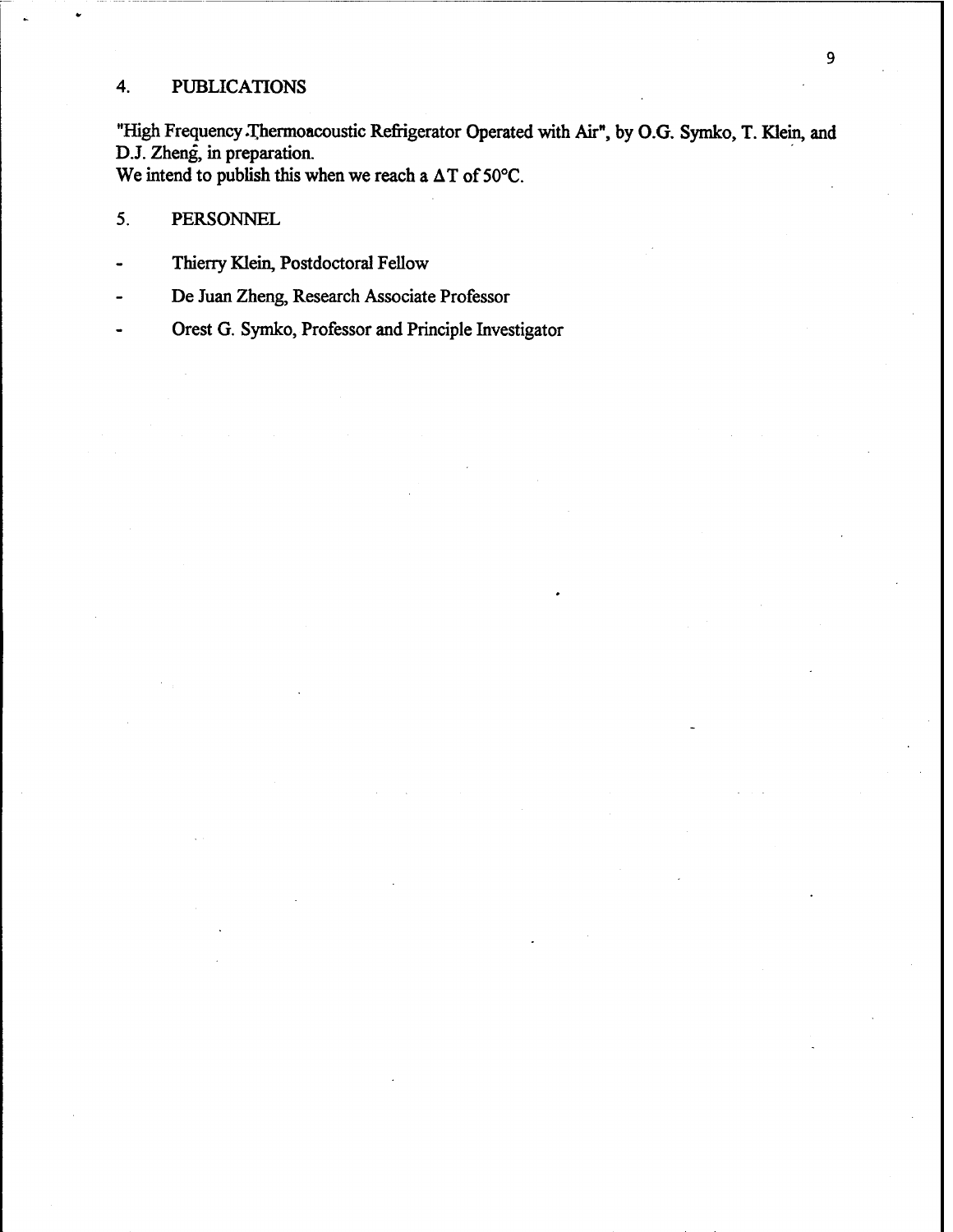# 4. PUBLICATIONS

"High Frequency Thermoacoustic Refrigerator Operated with Air", by O.G. Symko, T. Klein, and D.J. Zheng, in preparation. We intend to publish this when we reach a  $\Delta T$  of 50°C.

# 5. PERSONNEL

- Thierry Klein, Postdoctoral Fellow
- De Juan Zheng, Research Associate Professor
- Orest G. Symko, Professor and Principle Investigator